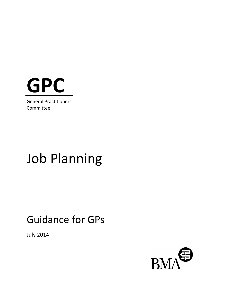

General Practitioners Committee

# Job Planning

# Guidance for GPs

July 2014

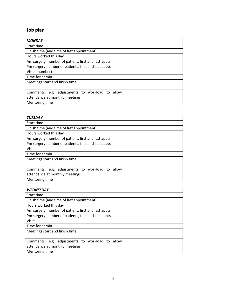# **Job plan**

| <b>MONDAY</b>                                       |  |
|-----------------------------------------------------|--|
| Start time                                          |  |
| Finish time (and time of last appointment)          |  |
| Hours worked this day                               |  |
| Am surgery: number of patient, first and last appts |  |
| Pm surgery number of patients, first and last appts |  |
| Visits (number)                                     |  |
| Time for admin                                      |  |
| Meetings start and finish time                      |  |
|                                                     |  |
| Comments: e.g. adjustments to workload to allow     |  |
| attendance at monthly meetings                      |  |
| Mentoring time                                      |  |

| <b>TUESDAY</b>                                      |  |
|-----------------------------------------------------|--|
| Start time                                          |  |
| Finish time (and time of last appointment)          |  |
| Hours worked this day                               |  |
| Am surgery: number of patient, first and last appts |  |
| Pm surgery number of patients, first and last appts |  |
| <b>Visits</b>                                       |  |
| Time for admin                                      |  |
| Meetings start and finish time                      |  |
|                                                     |  |
| Comments: e.g. adjustments to workload to allow     |  |
| attendance at monthly meetings                      |  |
| Mentoring time                                      |  |

| <b>WEDNESDAY</b>                                    |  |
|-----------------------------------------------------|--|
| Start time                                          |  |
| Finish time (and time of last appointment)          |  |
| Hours worked this day                               |  |
| Am surgery: number of patient, first and last appts |  |
| Pm surgery number of patients, first and last appts |  |
| <b>Visits</b>                                       |  |
| Time for admin                                      |  |
| Meetings start and finish time                      |  |
|                                                     |  |
| Comments: e.g. adjustments to workload to allow     |  |
| attendance at monthly meetings                      |  |
| Mentoring time                                      |  |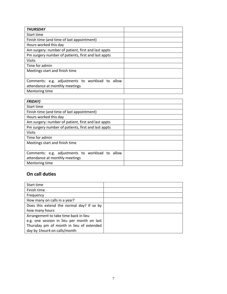| <b>THURSDAY</b>                                     |  |
|-----------------------------------------------------|--|
| Start time                                          |  |
| Finish time (and time of last appointment)          |  |
| Hours worked this day                               |  |
| Am surgery: number of patient, first and last appts |  |
| Pm surgery number of patients, first and last appts |  |
| <b>Visits</b>                                       |  |
| Time for admin                                      |  |
| Meetings start and finish time                      |  |
|                                                     |  |
| Comments: e.g. adjustments to workload to allow     |  |
| attendance at monthly meetings                      |  |
| Mentoring time                                      |  |

| <b>FRIDAY)</b>                                      |  |
|-----------------------------------------------------|--|
| Start time                                          |  |
| Finish time (and time of last appointment)          |  |
| Hours worked this day                               |  |
| Am surgery: number of patient, first and last appts |  |
| Pm surgery number of patients, first and last appts |  |
| <b>Visits</b>                                       |  |
| Time for admin                                      |  |
| Meetings start and finish time                      |  |
|                                                     |  |
| Comments: e.g. adjustments to workload to allow     |  |
| attendance at monthly meetings                      |  |
| Mentoring time                                      |  |

#### **On call duties**

| Start time                                 |  |
|--------------------------------------------|--|
| Finish time                                |  |
| Frequency                                  |  |
| How many on calls in a year?               |  |
| Does this extend the normal day? If so by  |  |
| how many hours                             |  |
| Arrangement to take time back in lieu      |  |
| e.g. one session in lieu per month on last |  |
| Thursday pm of month in lieu of extended   |  |
| day by 1hour4 on calls/month               |  |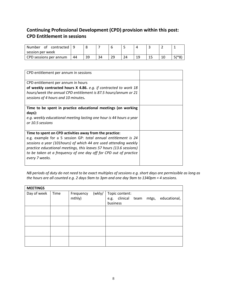#### **Continuing Professional Development (CPD) provision within this post: CPD Entitlement in sessions**

| Number<br>contracted<br>0t |    |    |    |                |    |    |  |            |
|----------------------------|----|----|----|----------------|----|----|--|------------|
| session per week           |    |    |    |                |    |    |  |            |
| CPD sessions per annum     | 44 | 30 | 34 | วด<br><u>_</u> | 24 | 10 |  | $F$ /* $O$ |

| CPD entitlement per annum in sessions                                                                                                                                                                                                                                                                                                                        |  |
|--------------------------------------------------------------------------------------------------------------------------------------------------------------------------------------------------------------------------------------------------------------------------------------------------------------------------------------------------------------|--|
| CPD entitlement per annum in hours<br>of weekly contracted hours X 4.86. e.g. if contracted to work 18<br>hours/week the annual CPD entitlement is 87.5 hours/annum or 21<br>sessions of 4 hours and 10 minutes.                                                                                                                                             |  |
| Time to be spent in practice educational meetings (on working<br>days):<br>e.g. weekly educational meeting lasting one hour is 44 hours a year<br>or 10.5 sessions                                                                                                                                                                                           |  |
| Time to spent on CPD activities away from the practice:<br>e.g. example for a 5 session GP: total annual entitlement is 24<br>sessions a year (101hours) of which 44 are used attending weekly<br>practice educational meetings, this leaves 57 hours (13.6 sessions)<br>to be taken at a frequency of one day off for CPD out of practice<br>every 7 weeks. |  |

*NB periods of duty do not need to be exact multiples of sessions e.g. short days are permissible as long as the hours are all counted e.g. 2 days 9am to 3pm and one day 9am to 1340pm = 4 sessions.* 

| <b>MEETINGS</b> |      |                     |                                                                              |
|-----------------|------|---------------------|------------------------------------------------------------------------------|
| Day of week     | Time | Frequency<br>mthly) | (wkly/   Topic content:<br>e.g. clinical team mtgs, educational,<br>business |
|                 |      |                     |                                                                              |
|                 |      |                     |                                                                              |
|                 |      |                     |                                                                              |
|                 |      |                     |                                                                              |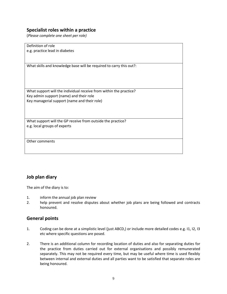#### **Specialist roles within a practice**

(*Please complete one sheet per role)*

Definition of role e.g. practice lead in diabetes What skills and knowledge base will be required to carry this out?: What support will the individual receive from within the practice? Key admin support (name) and their role Key managerial support (name and their role) What support will the GP receive from outside the practice? e.g. local groups of experts Other comments

#### **Job plan diary**

The aim of the diary is to:

- 1. inform the annual job plan review
- 2. help prevent and resolve disputes about whether job plans are being followed and contracts honoured.

#### **General points**

- 1. Coding can be done at a simplistic level (just ABCD,) or include more detailed codes e.g. I1, I2, I3 etc where specific questions are posed.
- 2. There is an additional column for recording location of duties and also for separating duties for the practice from duties carried out for external organisations and possibly remunerated separately. This may not be required every time, but may be useful where time is used flexibly between internal and external duties and all parties want to be satisfied that separate roles are being honoured.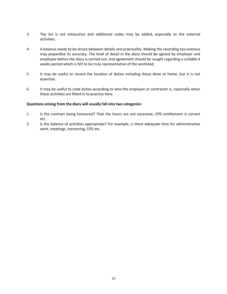- 3. The list is not exhaustive and additional codes may be added, especially to the external activities.
- 4. A balance needs to be struck between details and practicality. Making the recording too onerous may jeopardise its accuracy. The level of detail in the diary should be agreed by employer and employee before the diary is carried out, and agreement should be sought regarding a suitable 4 weeks period which is felt to be truly representative of the workload.
- 5. It may be useful to record the location of duties including those done at home, but it is not essential.
- 6. It may be useful to code duties according to who the employer or contractor is, especially when these activities are fitted in to practice time.

#### **Questions arising from the diary will usually fall into two categories:**

- 1. Is the contract being honoured? That the hours are not excessive, CPD entitlement is correct etc.
- 2. Is the balance of activities appropriate? For example, is there adequate time for administrative work, meetings, mentoring, CPD etc.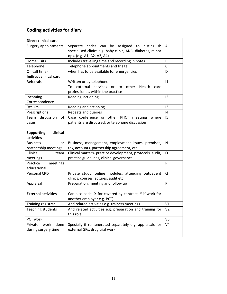# **Coding activities for diary**

| <b>Direct clinical care</b>   |                                                                          |                |
|-------------------------------|--------------------------------------------------------------------------|----------------|
| Surgery appointments          | assigned to distinguish<br>be<br>Separate codes can                      | A              |
|                               | specialised clinics e.g. baby clinic, ANC, diabetes, minor               |                |
|                               | ops. (e.g. A1, A2, A3, A4)                                               |                |
| Home visits                   | Includes travelling time and recording in notes                          | B              |
| Telephone                     | Telephone appointments and triage                                        | $\mathsf{C}$   |
| On call time-                 | when has to be available for emergencies                                 | D              |
| <b>Indirect clinical care</b> |                                                                          |                |
| Referrals                     | Written or by telephone                                                  | 1              |
|                               | external<br>services<br>other<br>То<br>to<br>Health<br><b>or</b><br>care |                |
|                               | professionals within the practice                                        |                |
| Incoming                      | Reading, actioning                                                       | 12             |
| Correspondence                |                                                                          |                |
| Results                       | Reading and actioning                                                    | 13             |
| Prescriptions                 | Repeats and queries                                                      | 4              |
| discussion<br>Team<br>of      | Case conference or other PHCT meetings where                             | 15             |
| cases                         | patients are discussed, or telephone discussion                          |                |
|                               |                                                                          |                |
| <b>Supporting</b><br>clinical |                                                                          |                |
| activities                    |                                                                          |                |
| <b>Business</b><br>or         | Business, management, employment issues, premises,                       | N              |
| partnership meetings          | tax, accounts, partnership agreement, etc                                |                |
| Clinical<br>team              | Clinical matters- practice development, protocols, audit,                | O              |
| meetings                      | practice guidelines, clinical governance                                 |                |
| Practice<br>meetings          |                                                                          | P              |
| educational                   |                                                                          |                |
| Personal CPD                  | Private study, online modules, attending outpatient                      | Q              |
|                               | clinics, courses lectures, audit etc                                     |                |
| Appraisal                     | Preparation, meeting and follow up                                       | $\mathsf{R}$   |
|                               |                                                                          |                |
| <b>External activities</b>    | Can also code X for covered by contract, Y if work for                   |                |
|                               | another employer e.g. PCT)                                               |                |
| Training registrar            | And related activities e.g. trainers meetings                            | V1             |
| <b>Teaching students</b>      | And related activities e.g. preparation and training for                 | V <sub>2</sub> |
|                               | this role                                                                |                |
| PCT work                      |                                                                          | V <sub>3</sub> |
| Private<br>work<br>done       |                                                                          |                |
|                               | Specially if remunerated separately e.g. appraisals for                  | V <sub>4</sub> |
| during surgery time           | external GPs, drug trial work                                            |                |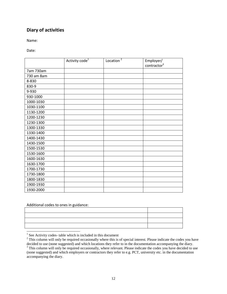#### **Diary of activities**

Name:

Date:

|            | Activity code <sup>1</sup> | Location $^2$ | Employer/<br>contractor <sup>3</sup> |
|------------|----------------------------|---------------|--------------------------------------|
| 7am 730am  |                            |               |                                      |
| 730 am 8am |                            |               |                                      |
| 8-830      |                            |               |                                      |
| 830-9      |                            |               |                                      |
| 9-930      |                            |               |                                      |
| 930-1000   |                            |               |                                      |
| 1000-1030  |                            |               |                                      |
| 1030-1100  |                            |               |                                      |
| 1130-1200  |                            |               |                                      |
| 1200-1230  |                            |               |                                      |
| 1230-1300  |                            |               |                                      |
| 1300-1330  |                            |               |                                      |
| 1330-1400  |                            |               |                                      |
| 1400-1430  |                            |               |                                      |
| 1430-1500  |                            |               |                                      |
| 1500-1530  |                            |               |                                      |
| 1530-1600  |                            |               |                                      |
| 1600-1630  |                            |               |                                      |
| 1630-1700  |                            |               |                                      |
| 1700-1730  |                            |               |                                      |
| 1730-1800  |                            |               |                                      |
| 1800-1830  |                            |               |                                      |
| 1900-1930  |                            |               |                                      |
| 1930-2000  |                            |               |                                      |

Additional codes to ones in guidance:

| ,一个人都是一个人的人,一个人都是一个人的人,一个人都是一个人的人,一个人都是一个人的人,一个人都是一个人的人,一个人都是一个人的人,一个人都是一个人的人,一个人 |                                                                                                                      |  |
|-----------------------------------------------------------------------------------|----------------------------------------------------------------------------------------------------------------------|--|
|                                                                                   | <u> 1988 - Ann an Dùbhlachd ann an Dùbhlachd ann an Dùbhlachd ann an Dùbhlachd ann an Dùbhlachd ann an Dùbhlachd</u> |  |
|                                                                                   |                                                                                                                      |  |
|                                                                                   |                                                                                                                      |  |
|                                                                                   |                                                                                                                      |  |
|                                                                                   |                                                                                                                      |  |

<sup>1</sup> See Activity codes- table which is included in this document

 $2^2$  This column will only be required occasionally where this is of special interest. Please indicate the codes you have decided to use (none suggested) and which locations they refer to in the documentation accompanying the diary. <sup>3</sup> This column will only be required occasionally, where relevant. Please indicate the codes you have decided to use (none suggested) and which employers or contractors they refer to e.g. PCT, university etc. in the documentation accompanying the diary.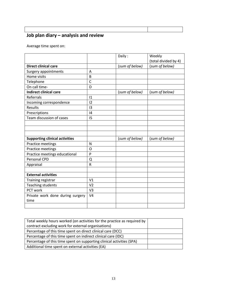# **Job plan diary – analysis and review**

Average time spent on:

|                                       |                | Daily:         | Weekly               |
|---------------------------------------|----------------|----------------|----------------------|
|                                       |                |                | (total divided by 4) |
| <b>Direct clinical care</b>           |                | (sum of below) | (sum of below)       |
| Surgery appointments                  | A              |                |                      |
| Home visits                           | B              |                |                      |
| Telephone                             | $\mathsf{C}$   |                |                      |
| On call time-                         | D              |                |                      |
| <b>Indirect clinical care</b>         |                | (sum of below) | (sum of below)       |
| Referrals                             | 1              |                |                      |
| Incoming correspondence               | 12             |                |                      |
| <b>Results</b>                        | 13             |                |                      |
| Prescriptions                         | 4              |                |                      |
| Team discussion of cases              | 15             |                |                      |
|                                       |                |                |                      |
|                                       |                |                |                      |
|                                       |                |                |                      |
| <b>Supporting clinical activities</b> |                | (sum of below) | (sum of below)       |
| Practice meetings                     | $\mathsf{N}$   |                |                      |
| Practice meetings                     | O              |                |                      |
| Practice meetings educational         | P              |                |                      |
| Personal CPD                          | Q              |                |                      |
| Appraisal                             | $\mathsf{R}$   |                |                      |
|                                       |                |                |                      |
| <b>External activities</b>            |                |                |                      |
| Training registrar                    | V <sub>1</sub> |                |                      |
| Teaching students                     | V <sub>2</sub> |                |                      |
| PCT work                              | V <sub>3</sub> |                |                      |
| Private work done during surgery      | V <sub>4</sub> |                |                      |
| time                                  |                |                |                      |
|                                       |                |                |                      |

| Total weekly hours worked (on activities for the practice as required by |  |
|--------------------------------------------------------------------------|--|
| contract excluding work for external organisations)                      |  |
| Percentage of this time spent on direct clinical care (DCC)              |  |
| Percentage of this time spent on indirect clinical care (IDC)            |  |
| Percentage of this time spent on supporting clinical activities (SPA)    |  |
| Additional time spent on external activities (EA)                        |  |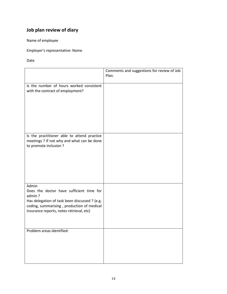# **Job plan review of diary**

Name of employee

Employer's representative: Name

Date

|                                                                                                                                                                                                        | Comments and suggestions for review of Job |
|--------------------------------------------------------------------------------------------------------------------------------------------------------------------------------------------------------|--------------------------------------------|
|                                                                                                                                                                                                        | Plan.                                      |
| Is the number of hours worked consistent<br>with the contract of employment?                                                                                                                           |                                            |
| Is the practitioner able to attend practice<br>meetings ? If not why and what can be done<br>to promote inclusion ?                                                                                    |                                            |
| Admin<br>Does the doctor have sufficient time for<br>admin?<br>Has delegation of task been discussed ? (e.g.<br>coding, summarising, production of medical<br>insurance reports, notes retrieval, etc) |                                            |
| Problem areas identified:                                                                                                                                                                              |                                            |